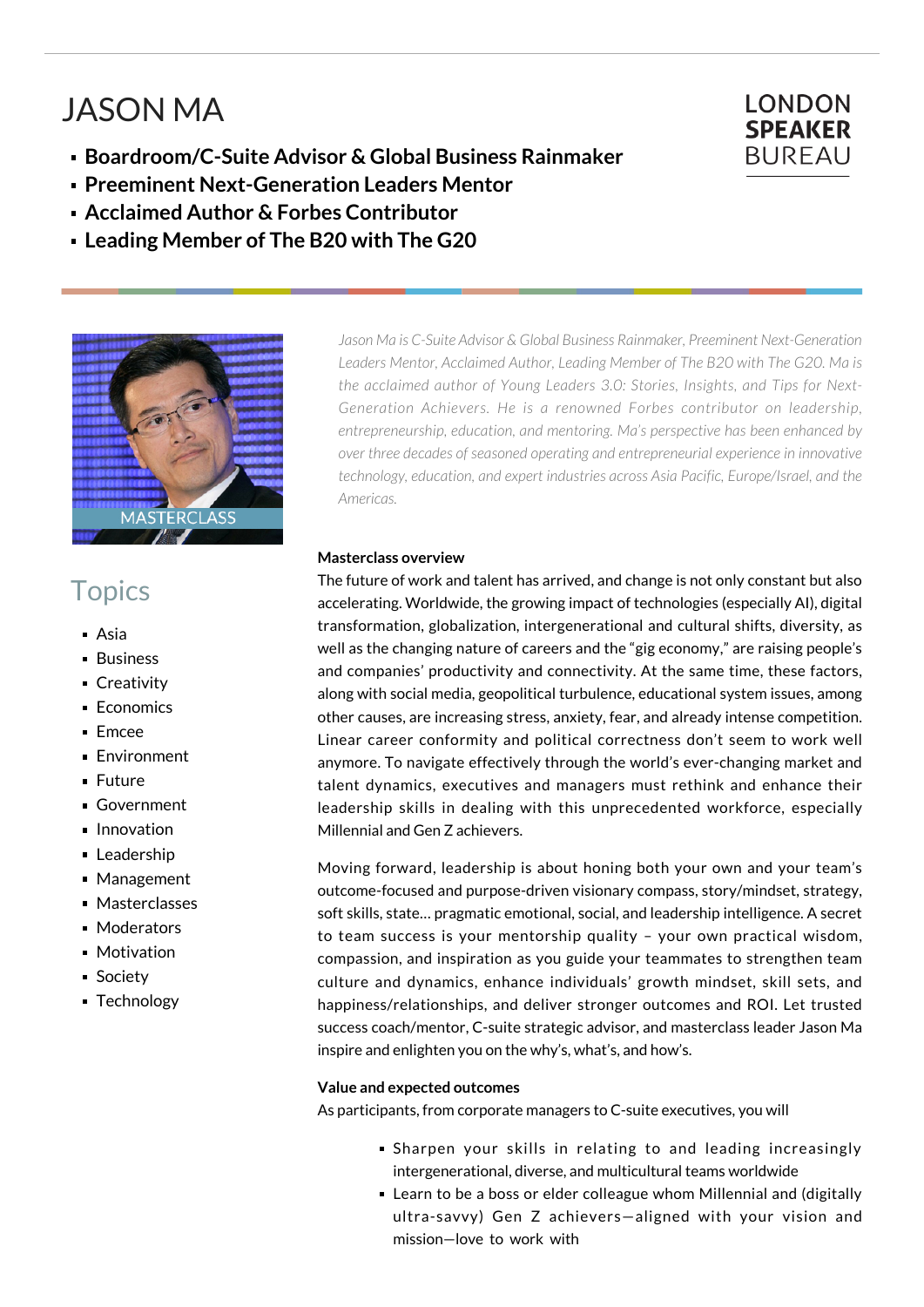# JASON MA

- **Boardroom/C-Suite Advisor & Global Business Rainmaker**
- **Preeminent Next-Generation Leaders Mentor**
- **Acclaimed Author & Forbes Contributor**
- **Leading Member of The B20 with The G20**



## **Topics**

- Asia
- **Business**
- **Creativity**
- **Economics**
- Emcee
- Environment
- **Future**
- Government
- **Innovation**
- **Leadership**
- **Management**
- **Masterclasses**
- **Moderators**
- **Motivation**
- **Society**
- **Technology**

*Jason Ma is C-Suite Advisor & Global Business Rainmaker, Preeminent Next-Generation Leaders Mentor, Acclaimed Author, Leading Member of The B20 with The G20. Ma is the acclaimed author of Young Leaders 3.0: Stories, Insights, and Tips for Next-Generation Achievers. He is a renowned Forbes contributor on leadership, entrepreneurship, education, and mentoring. Ma's perspective has been enhanced by over three decades of seasoned operating and entrepreneurial experience in innovative technology, education, and expert industries across Asia Pacific, Europe/Israel, and the Americas.*

#### **Masterclass overview**

The future of work and talent has arrived, and change is not only constant but also accelerating. Worldwide, the growing impact of technologies (especially AI), digital transformation, globalization, intergenerational and cultural shifts, diversity, as well as the changing nature of careers and the "gig economy," are raising people's and companies' productivity and connectivity. At the same time, these factors, along with social media, geopolitical turbulence, educational system issues, among other causes, are increasing stress, anxiety, fear, and already intense competition. Linear career conformity and political correctness don't seem to work well anymore. To navigate effectively through the world's ever-changing market and talent dynamics, executives and managers must rethink and enhance their leadership skills in dealing with this unprecedented workforce, especially Millennial and Gen Z achievers.

Moving forward, leadership is about honing both your own and your team's outcome-focused and purpose-driven visionary compass, story/mindset, strategy, soft skills, state… pragmatic emotional, social, and leadership intelligence. A secret to team success is your mentorship quality – your own practical wisdom, compassion, and inspiration as you guide your teammates to strengthen team culture and dynamics, enhance individuals' growth mindset, skill sets, and happiness/relationships, and deliver stronger outcomes and ROI. Let trusted success coach/mentor, C-suite strategic advisor, and masterclass leader Jason Ma inspire and enlighten you on the why's, what's, and how's.

### **Value and expected outcomes**

As participants, from corporate managers to C-suite executives, you will

- Sharpen your skills in relating to and leading increasingly intergenerational, diverse, and multicultural teams worldwide
- Learn to be a boss or elder colleague whom Millennial and (digitally ultra-savvy) Gen Z achievers—aligned with your vision and mission—love to work with